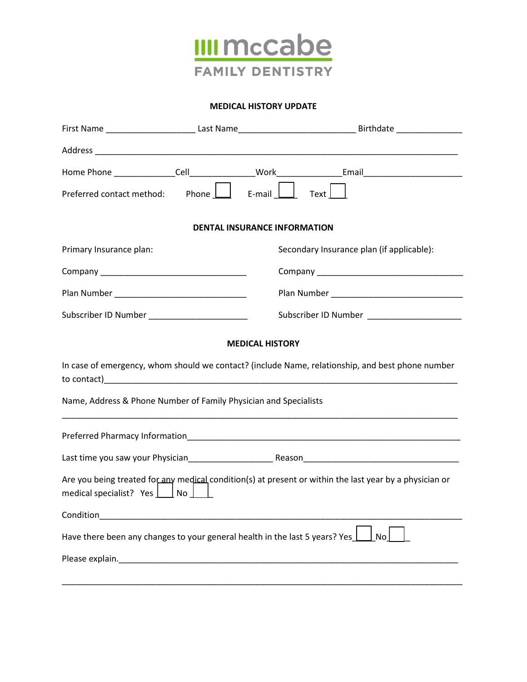

#### **MEDICAL HISTORY UPDATE**

|                                                                                                                                              |                                                                                                                      | First Name ___________________________Last Name__________________________________Birthdate ___________________ |  |  |  |  |
|----------------------------------------------------------------------------------------------------------------------------------------------|----------------------------------------------------------------------------------------------------------------------|----------------------------------------------------------------------------------------------------------------|--|--|--|--|
|                                                                                                                                              |                                                                                                                      |                                                                                                                |  |  |  |  |
|                                                                                                                                              |                                                                                                                      | Home Phone ________________Cell_________________Work_________________Email__________________________           |  |  |  |  |
|                                                                                                                                              |                                                                                                                      | Preferred contact method: Phone   E-mail   Text                                                                |  |  |  |  |
| <b>DENTAL INSURANCE INFORMATION</b>                                                                                                          |                                                                                                                      |                                                                                                                |  |  |  |  |
| Primary Insurance plan:                                                                                                                      |                                                                                                                      | Secondary Insurance plan (if applicable):                                                                      |  |  |  |  |
|                                                                                                                                              |                                                                                                                      |                                                                                                                |  |  |  |  |
|                                                                                                                                              |                                                                                                                      |                                                                                                                |  |  |  |  |
| Subscriber ID Number _________________________                                                                                               |                                                                                                                      | Subscriber ID Number ______________________                                                                    |  |  |  |  |
|                                                                                                                                              |                                                                                                                      | <b>MEDICAL HISTORY</b>                                                                                         |  |  |  |  |
| In case of emergency, whom should we contact? (include Name, relationship, and best phone number                                             |                                                                                                                      |                                                                                                                |  |  |  |  |
| Name, Address & Phone Number of Family Physician and Specialists                                                                             |                                                                                                                      |                                                                                                                |  |  |  |  |
|                                                                                                                                              |                                                                                                                      |                                                                                                                |  |  |  |  |
|                                                                                                                                              |                                                                                                                      |                                                                                                                |  |  |  |  |
| Are you being treated for any medical condition(s) at present or within the last year by a physician or<br>medical specialist? Yes ___ No __ |                                                                                                                      |                                                                                                                |  |  |  |  |
| Condition                                                                                                                                    | <u> 1980 - Johann Stein, mars an deutscher Stein und der Stein und der Stein und der Stein und der Stein und der</u> |                                                                                                                |  |  |  |  |
| Have there been any changes to your general health in the last 5 years? Yes $\perp$<br>No                                                    |                                                                                                                      |                                                                                                                |  |  |  |  |
|                                                                                                                                              |                                                                                                                      |                                                                                                                |  |  |  |  |
|                                                                                                                                              |                                                                                                                      |                                                                                                                |  |  |  |  |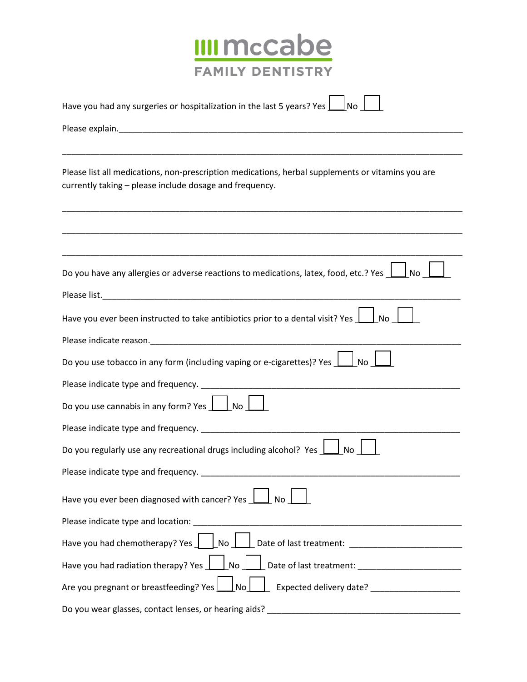

| Have you had any surgeries or hospitalization in the last 5 years? Yes<br>l No                                                                               |  |  |
|--------------------------------------------------------------------------------------------------------------------------------------------------------------|--|--|
|                                                                                                                                                              |  |  |
|                                                                                                                                                              |  |  |
| Please list all medications, non-prescription medications, herbal supplements or vitamins you are<br>currently taking - please include dosage and frequency. |  |  |
|                                                                                                                                                              |  |  |
| Do you have any allergies or adverse reactions to medications, latex, food, etc.? Yes $\Box$<br>l No                                                         |  |  |
|                                                                                                                                                              |  |  |
| Have you ever been instructed to take antibiotics prior to a dental visit? Yes $\Box$ No                                                                     |  |  |
|                                                                                                                                                              |  |  |
| Do you use tobacco in any form (including vaping or e-cigarettes)? Yes $\boxed{\phantom{a}}$ No                                                              |  |  |
|                                                                                                                                                              |  |  |
| Do you use cannabis in any form? Yes $\Box$ No $\Box$                                                                                                        |  |  |
|                                                                                                                                                              |  |  |
| Do you regularly use any recreational drugs including alcohol? Yes<br><b>No</b>                                                                              |  |  |
|                                                                                                                                                              |  |  |
| Have you ever been diagnosed with cancer? Yes 1<br>No                                                                                                        |  |  |
| Please indicate type and location:                                                                                                                           |  |  |
| Have you had chemotherapy? Yes $\Box$ No $\Box$<br><u>Date of last treatment: __________________________</u>                                                 |  |  |
| Have you had radiation therapy? Yes 1.1 No 1.1 Date of last treatment: 1.1 Au 1.2 Au 2.2 Au 2.2 Au 2.2 Au 2.2 Au                                             |  |  |
| Are you pregnant or breastfeeding? Yes \[ \[ _] No<br><u>____</u> Expected delivery date? _______________________                                            |  |  |
| Do you wear glasses, contact lenses, or hearing aids?                                                                                                        |  |  |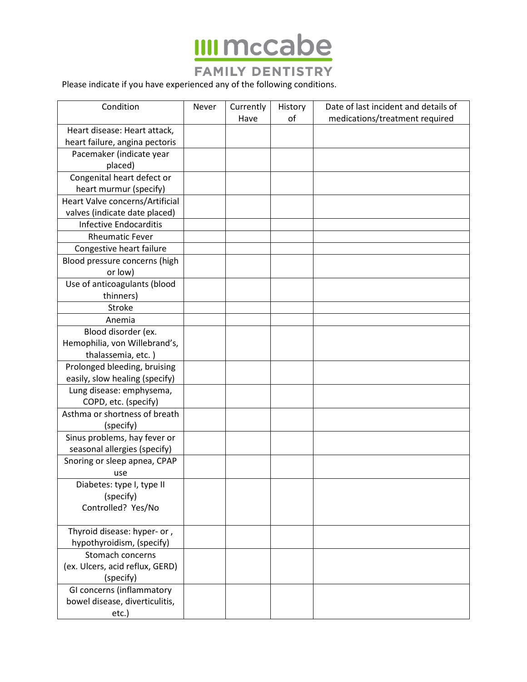

## **FAMILY DENTISTRY**

Please indicate if you have experienced any of the following conditions.

| Condition                       | Never | Currently | History | Date of last incident and details of |
|---------------------------------|-------|-----------|---------|--------------------------------------|
|                                 |       | Have      | of      | medications/treatment required       |
| Heart disease: Heart attack,    |       |           |         |                                      |
| heart failure, angina pectoris  |       |           |         |                                      |
| Pacemaker (indicate year        |       |           |         |                                      |
| placed)                         |       |           |         |                                      |
| Congenital heart defect or      |       |           |         |                                      |
| heart murmur (specify)          |       |           |         |                                      |
| Heart Valve concerns/Artificial |       |           |         |                                      |
| valves (indicate date placed)   |       |           |         |                                      |
| <b>Infective Endocarditis</b>   |       |           |         |                                      |
| <b>Rheumatic Fever</b>          |       |           |         |                                      |
| Congestive heart failure        |       |           |         |                                      |
| Blood pressure concerns (high   |       |           |         |                                      |
| or low)                         |       |           |         |                                      |
| Use of anticoagulants (blood    |       |           |         |                                      |
| thinners)                       |       |           |         |                                      |
| Stroke                          |       |           |         |                                      |
| Anemia                          |       |           |         |                                      |
| Blood disorder (ex.             |       |           |         |                                      |
| Hemophilia, von Willebrand's,   |       |           |         |                                      |
| thalassemia, etc.)              |       |           |         |                                      |
| Prolonged bleeding, bruising    |       |           |         |                                      |
| easily, slow healing (specify)  |       |           |         |                                      |
| Lung disease: emphysema,        |       |           |         |                                      |
| COPD, etc. (specify)            |       |           |         |                                      |
| Asthma or shortness of breath   |       |           |         |                                      |
| (specify)                       |       |           |         |                                      |
| Sinus problems, hay fever or    |       |           |         |                                      |
| seasonal allergies (specify)    |       |           |         |                                      |
| Snoring or sleep apnea, CPAP    |       |           |         |                                      |
| use                             |       |           |         |                                      |
| Diabetes: type I, type II       |       |           |         |                                      |
| (specify)                       |       |           |         |                                      |
| Controlled? Yes/No              |       |           |         |                                      |
|                                 |       |           |         |                                      |
| Thyroid disease: hyper- or,     |       |           |         |                                      |
| hypothyroidism, (specify)       |       |           |         |                                      |
| Stomach concerns                |       |           |         |                                      |
| (ex. Ulcers, acid reflux, GERD) |       |           |         |                                      |
| (specify)                       |       |           |         |                                      |
| GI concerns (inflammatory       |       |           |         |                                      |
| bowel disease, diverticulitis,  |       |           |         |                                      |
| etc.)                           |       |           |         |                                      |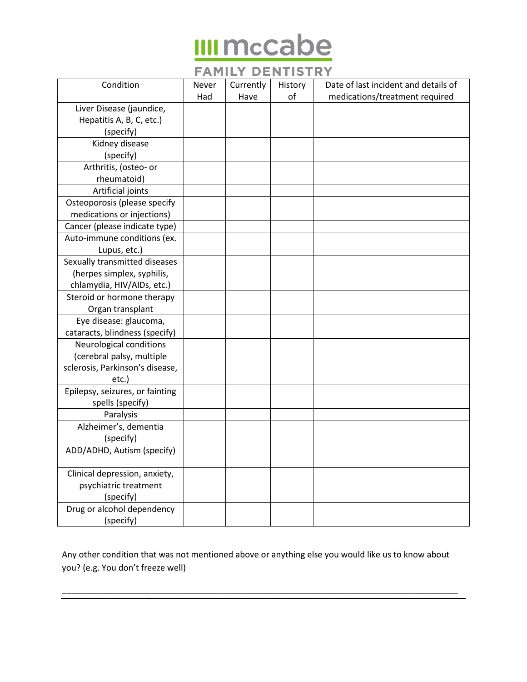# **IIII mccabe**

## **FAMILY DENTISTRY**

| Condition                       | Never | Currently | History | Date of last incident and details of |
|---------------------------------|-------|-----------|---------|--------------------------------------|
|                                 | Had   | Have      | of      | medications/treatment required       |
| Liver Disease (jaundice,        |       |           |         |                                      |
| Hepatitis A, B, C, etc.)        |       |           |         |                                      |
| (specify)                       |       |           |         |                                      |
| Kidney disease                  |       |           |         |                                      |
| (specify)                       |       |           |         |                                      |
| Arthritis, (osteo- or           |       |           |         |                                      |
| rheumatoid)                     |       |           |         |                                      |
| Artificial joints               |       |           |         |                                      |
| Osteoporosis (please specify    |       |           |         |                                      |
| medications or injections)      |       |           |         |                                      |
| Cancer (please indicate type)   |       |           |         |                                      |
| Auto-immune conditions (ex.     |       |           |         |                                      |
| Lupus, etc.)                    |       |           |         |                                      |
| Sexually transmitted diseases   |       |           |         |                                      |
| (herpes simplex, syphilis,      |       |           |         |                                      |
| chlamydia, HIV/AIDs, etc.)      |       |           |         |                                      |
| Steroid or hormone therapy      |       |           |         |                                      |
| Organ transplant                |       |           |         |                                      |
| Eye disease: glaucoma,          |       |           |         |                                      |
| cataracts, blindness (specify)  |       |           |         |                                      |
| Neurological conditions         |       |           |         |                                      |
| (cerebral palsy, multiple       |       |           |         |                                      |
| sclerosis, Parkinson's disease, |       |           |         |                                      |
| etc.)                           |       |           |         |                                      |
| Epilepsy, seizures, or fainting |       |           |         |                                      |
| spells (specify)                |       |           |         |                                      |
| Paralysis                       |       |           |         |                                      |
| Alzheimer's, dementia           |       |           |         |                                      |
| (specify)                       |       |           |         |                                      |
| ADD/ADHD, Autism (specify)      |       |           |         |                                      |
| Clinical depression, anxiety,   |       |           |         |                                      |
| psychiatric treatment           |       |           |         |                                      |
| (specify)                       |       |           |         |                                      |
| Drug or alcohol dependency      |       |           |         |                                      |
| (specify)                       |       |           |         |                                      |

Any other condition that was not mentioned above or anything else you would like us to know about you? (e.g. You don't freeze well)

\_\_\_\_\_\_\_\_\_\_\_\_\_\_\_\_\_\_\_\_\_\_\_\_\_\_\_\_\_\_\_\_\_\_\_\_\_\_\_\_\_\_\_\_\_\_\_\_\_\_\_\_\_\_\_\_\_\_\_\_\_\_\_\_\_\_\_\_\_\_\_\_\_\_\_\_\_\_\_\_\_\_\_\_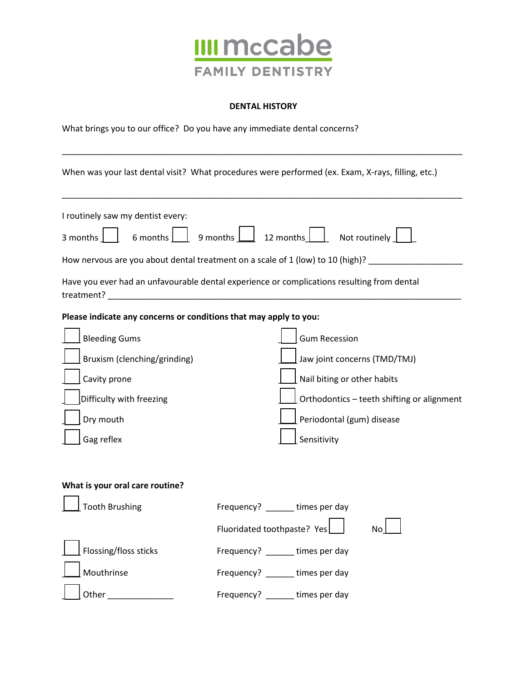

#### **DENTAL HISTORY**

\_\_\_\_\_\_\_\_\_\_\_\_\_\_\_\_\_\_\_\_\_\_\_\_\_\_\_\_\_\_\_\_\_\_\_\_\_\_\_\_\_\_\_\_\_\_\_\_\_\_\_\_\_\_\_\_\_\_\_\_\_\_\_\_\_\_\_\_\_\_\_\_\_\_\_\_\_\_\_\_\_\_\_\_\_

What brings you to our office? Do you have any immediate dental concerns?

When was your last dental visit? What procedures were performed (ex. Exam, X-rays, filling, etc.)

| I routinely saw my dentist every:<br>6 months<br>3 months                                                                                                                                        | 9 months  <br>12 months<br>Not routinely<br>How nervous are you about dental treatment on a scale of 1 (low) to 10 (high)? ___________                                        |
|--------------------------------------------------------------------------------------------------------------------------------------------------------------------------------------------------|-------------------------------------------------------------------------------------------------------------------------------------------------------------------------------|
|                                                                                                                                                                                                  | Have you ever had an unfavourable dental experience or complications resulting from dental                                                                                    |
| Please indicate any concerns or conditions that may apply to you:<br><b>Bleeding Gums</b><br>Bruxism (clenching/grinding)<br>Cavity prone<br>Difficulty with freezing<br>Dry mouth<br>Gag reflex | <b>Gum Recession</b><br>Jaw joint concerns (TMD/TMJ)<br>Nail biting or other habits<br>Orthodontics - teeth shifting or alignment<br>Periodontal (gum) disease<br>Sensitivity |
| What is your oral care routine?<br><b>Tooth Brushing</b>                                                                                                                                         | Frequency? _____ times per day<br>Fluoridated toothpaste? Yes                                                                                                                 |
| Flossing/floss sticks<br>Mouthrinse                                                                                                                                                              | Frequency? _______ times per day<br>Frequency? _______ times per day                                                                                                          |
| Other                                                                                                                                                                                            | Frequency? times per day                                                                                                                                                      |